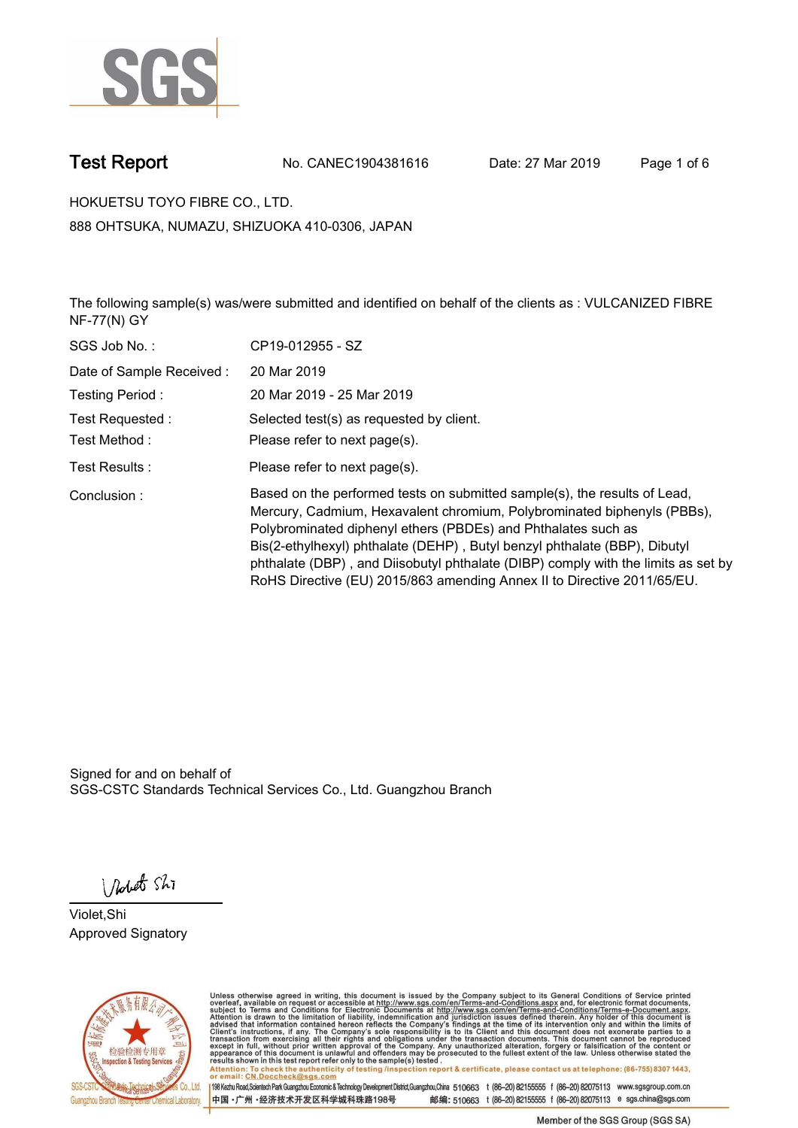

**Test Report. No. CANEC1904381616 Date: 27 Mar 2019. Page 1 of 6.**

**HOKUETSU TOYO FIBRE CO., LTD.. 888 OHTSUKA, NUMAZU, SHIZUOKA 410-0306, JAPAN**

**The following sample(s) was/were submitted and identified on behalf of the clients as : VULCANIZED FIBRE NF-77(N) GY.**

| SGS Job No.:             | CP19-012955 - SZ                                                                                                                                                                                                                                                                                                                                                                                                                                                   |
|--------------------------|--------------------------------------------------------------------------------------------------------------------------------------------------------------------------------------------------------------------------------------------------------------------------------------------------------------------------------------------------------------------------------------------------------------------------------------------------------------------|
| Date of Sample Received: | 20 Mar 2019                                                                                                                                                                                                                                                                                                                                                                                                                                                        |
| Testing Period:          | 20 Mar 2019 - 25 Mar 2019                                                                                                                                                                                                                                                                                                                                                                                                                                          |
| Test Requested :         | Selected test(s) as requested by client.                                                                                                                                                                                                                                                                                                                                                                                                                           |
| Test Method :            | Please refer to next page(s).                                                                                                                                                                                                                                                                                                                                                                                                                                      |
| Test Results :           | Please refer to next page(s).                                                                                                                                                                                                                                                                                                                                                                                                                                      |
| Conclusion:              | Based on the performed tests on submitted sample(s), the results of Lead,<br>Mercury, Cadmium, Hexavalent chromium, Polybrominated biphenyls (PBBs),<br>Polybrominated diphenyl ethers (PBDEs) and Phthalates such as<br>Bis(2-ethylhexyl) phthalate (DEHP), Butyl benzyl phthalate (BBP), Dibutyl<br>phthalate (DBP), and Diisobutyl phthalate (DIBP) comply with the limits as set by<br>RoHS Directive (EU) 2015/863 amending Annex II to Directive 2011/65/EU. |

Signed for and on behalf of SGS-CSTC Standards Technical Services Co., Ltd. Guangzhou Branch.

Nobet Shi

**Violet,Shi. Approved Signatory.**



Unless otherwise agreed in writing, this document is issued by the Company subject to its General Conditions of Service printed<br>overleaf, available on request or accessible at http://www.sgs.com/en/Terms-and-Conditions.asp Attention: To check the authenticity of testing /inspection report & certificate, please contact us at telephone: (86-755) 8307 1443,<br>Attention: To check the authenticity of testing /inspection report & certificate, please

198 Kezhu Road,Scientech Park Guangzhou Economic & Technology Development District,Guangzhou,China 510663 t (86-20) 82155555 f (86-20) 82075113 www.sgsgroup.com.cn 邮编: 510663 t (86-20) 82155555 f (86-20) 82075113 e sgs.china@sgs.com 中国·广州·经济技术开发区科学城科珠路198号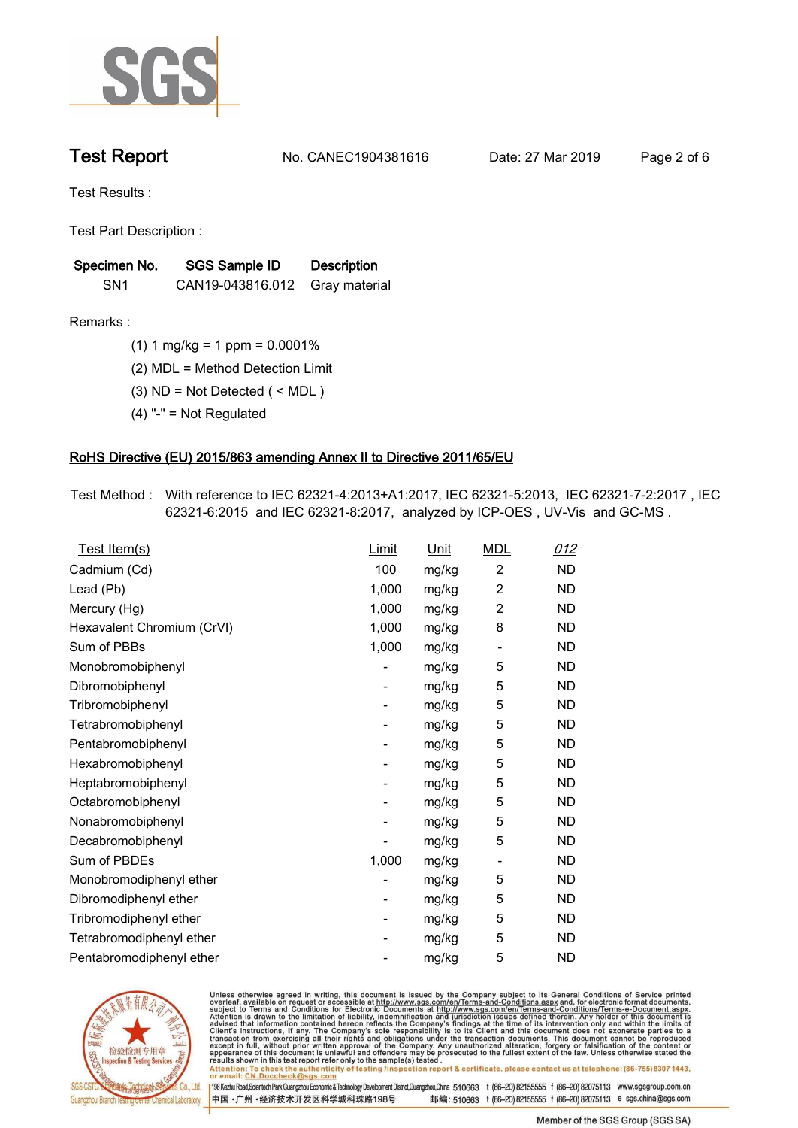

**Test Report. No. CANEC1904381616 Date: 27 Mar 2019. Page 2 of 6.**

**Test Results :.**

**Test Part Description :.**

| Specimen No.    | SGS Sample ID                  | <b>Description</b> |  |
|-----------------|--------------------------------|--------------------|--|
| SN <sub>1</sub> | CAN19-043816.012 Gray material |                    |  |

**Remarks :.(1) 1 mg/kg = 1 ppm = 0.0001%.**

**(2) MDL = Method Detection Limit.**

**(3) ND = Not Detected ( < MDL ).**

**(4) "-" = Not Regulated.**

### **RoHS Directive (EU) 2015/863 amending Annex II to Directive 2011/65/EU.**

**Test Method :. With reference to IEC 62321-4:2013+A1:2017, IEC 62321-5:2013, IEC 62321-7-2:2017 , IEC 62321-6:2015 and IEC 62321-8:2017, analyzed by ICP-OES , UV-Vis and GC-MS ..**

| Test Item(s)               | <u>Limit</u> | <u>Unit</u> | <b>MDL</b>               | 012       |
|----------------------------|--------------|-------------|--------------------------|-----------|
| Cadmium (Cd)               | 100          | mg/kg       | $\overline{2}$           | <b>ND</b> |
| Lead (Pb)                  | 1,000        | mg/kg       | $\overline{c}$           | <b>ND</b> |
| Mercury (Hg)               | 1,000        | mg/kg       | 2                        | <b>ND</b> |
| Hexavalent Chromium (CrVI) | 1,000        | mg/kg       | 8                        | <b>ND</b> |
| Sum of PBBs                | 1,000        | mg/kg       | $\overline{\phantom{a}}$ | <b>ND</b> |
| Monobromobiphenyl          |              | mg/kg       | 5                        | <b>ND</b> |
| Dibromobiphenyl            | -            | mg/kg       | 5                        | <b>ND</b> |
| Tribromobiphenyl           | -            | mg/kg       | 5                        | <b>ND</b> |
| Tetrabromobiphenyl         |              | mg/kg       | 5                        | <b>ND</b> |
| Pentabromobiphenyl         | -            | mg/kg       | 5                        | <b>ND</b> |
| Hexabromobiphenyl          |              | mg/kg       | 5                        | ND        |
| Heptabromobiphenyl         | -            | mg/kg       | 5                        | <b>ND</b> |
| Octabromobiphenyl          |              | mg/kg       | 5                        | <b>ND</b> |
| Nonabromobiphenyl          |              | mg/kg       | 5                        | <b>ND</b> |
| Decabromobiphenyl          |              | mg/kg       | 5                        | <b>ND</b> |
| Sum of PBDEs               | 1,000        | mg/kg       | $\overline{\phantom{a}}$ | <b>ND</b> |
| Monobromodiphenyl ether    |              | mg/kg       | 5                        | <b>ND</b> |
| Dibromodiphenyl ether      | -            | mg/kg       | 5                        | <b>ND</b> |
| Tribromodiphenyl ether     | -            | mg/kg       | 5                        | <b>ND</b> |
| Tetrabromodiphenyl ether   |              | mg/kg       | 5                        | <b>ND</b> |
| Pentabromodiphenyl ether   |              | mg/kg       | 5                        | <b>ND</b> |
|                            |              |             |                          |           |



Unless otherwise agreed in writing, this document is issued by the Company subject to its General Conditions of Service printed<br>overleaf, available on request or accessible at http://www.sgs.com/en/Terms-and-Conditions.asp Attention: To check the authenticity of testing /inspection report & certificate, please contact us at telephone: (86-755) 8307 1443,<br>Attention: To check the authenticity of testing /inspection report & certificate, please

198 Kezhu Road,Scientech Park Guangzhou Economic & Technology Development District,Guangzhou,China 510663 t (86-20) 82155555 f (86-20) 82075113 www.sgsgroup.com.cn 邮编: 510663 t (86-20) 82155555 f (86-20) 82075113 e sgs.china@sgs.com 中国·广州·经济技术开发区科学城科珠路198号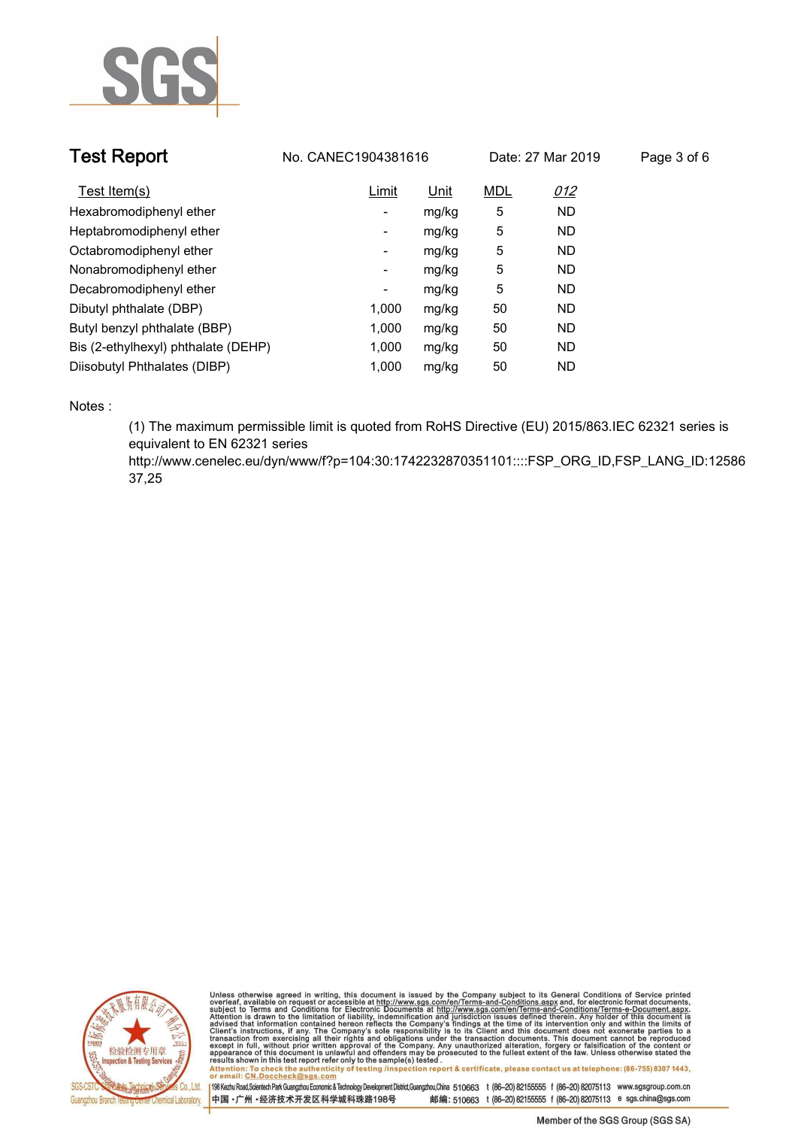

| <b>Test Report</b>                  | No. CANEC1904381616 |       | Date: 27 Mar 2019 |           | Page 3 of 6 |  |
|-------------------------------------|---------------------|-------|-------------------|-----------|-------------|--|
| Test Item(s)                        | Limit               | Unit  | <b>MDL</b>        | 012       |             |  |
| Hexabromodiphenyl ether             | -                   | mg/kg | 5                 | <b>ND</b> |             |  |
| Heptabromodiphenyl ether            | -                   | mg/kg | 5                 | <b>ND</b> |             |  |
| Octabromodiphenyl ether             | ۰                   | mg/kg | 5                 | <b>ND</b> |             |  |
| Nonabromodiphenyl ether             | Ξ.                  | mg/kg | 5                 | <b>ND</b> |             |  |
| Decabromodiphenyl ether             | ٠                   | mg/kg | 5                 | <b>ND</b> |             |  |
| Dibutyl phthalate (DBP)             | 1.000               | mg/kg | 50                | <b>ND</b> |             |  |
| Butyl benzyl phthalate (BBP)        | 1,000               | mg/kg | 50                | <b>ND</b> |             |  |
| Bis (2-ethylhexyl) phthalate (DEHP) | 1.000               | mg/kg | 50                | <b>ND</b> |             |  |
| Diisobutyl Phthalates (DIBP)        | 1.000               | mg/kg | 50                | <b>ND</b> |             |  |

**Notes :.**

**(1) The maximum permissible limit is quoted from RoHS Directive (EU) 2015/863.IEC 62321 series is equivalent to EN 62321 series** 

**http://www.cenelec.eu/dyn/www/f?p=104:30:1742232870351101::::FSP\_ORG\_ID,FSP\_LANG\_ID:12586 37,25.**



Unless otherwise agreed in writing, this document is issued by the Company subject to its General Conditions of Service printed<br>overleaf, available on request or accessible at http://www.sgs.com/en/Terms-and-Conditions.asp results shown in this test report refer only to the sample(s) tested .<br>Attention: To check the authenticity of testing /inspection report & certificate, please contact us at telephone: (86-755) 8307 1443,<br>or email: <u>CN.Doc</u>

198 Kezhu Road,Scientech Park Guangzhou Economic & Technology Development District,Guangzhou,China 510663 t (86-20) 82155555 f (86-20) 82075113 www.sgsgroup.com.cn 中国·广州·经济技术开发区科学城科珠路198号 邮编: 510663 t (86-20) 82155555 f (86-20) 82075113 e sgs.china@sgs.com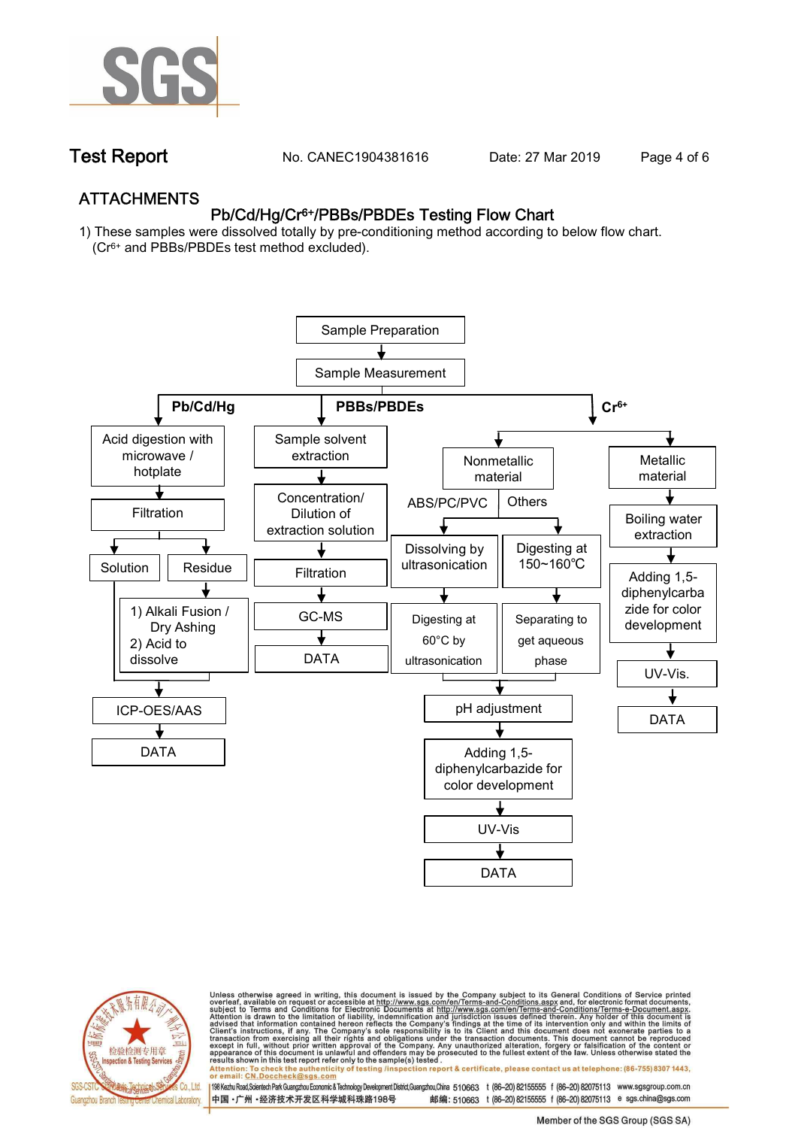

**Test Report. No. CANEC1904381616** Date: 27 Mar 2019 Page 4 of 6

## **ATTACHMENTS Pb/Cd/Hg/Cr6+/PBBs/PBDEs Testing Flow Chart**

**1) These samples were dissolved totally by pre-conditioning method according to below flow chart. (Cr6+ and PBBs/PBDEs test method excluded).**





Unless otherwise agreed in writing, this document is issued by the Company subject to its General Conditions of Service printed<br>overleaf, available on request or accessible at http://www.sgs.com/en/Terms-and-Conditions.asp résults shown in this test report refer only to the sample(s) tésted .<br>Attention: To check the authenticity of testing /inspection report & certificate, please contact us at telephone: (86-755) 8307 1443,<br>or email: <u>CN.Doc</u>

198 Kezhu Road,Scientech Park Guangzhou Economic & Technology Development District,Guangzhou,China 510663 t (86-20) 82155555 f (86-20) 82075113 www.sgsgroup.com.cn

邮编: 510663 t (86-20) 82155555 f (86-20) 82075113 e sgs.china@sgs.com 中国·广州·经济技术开发区科学城科珠路198号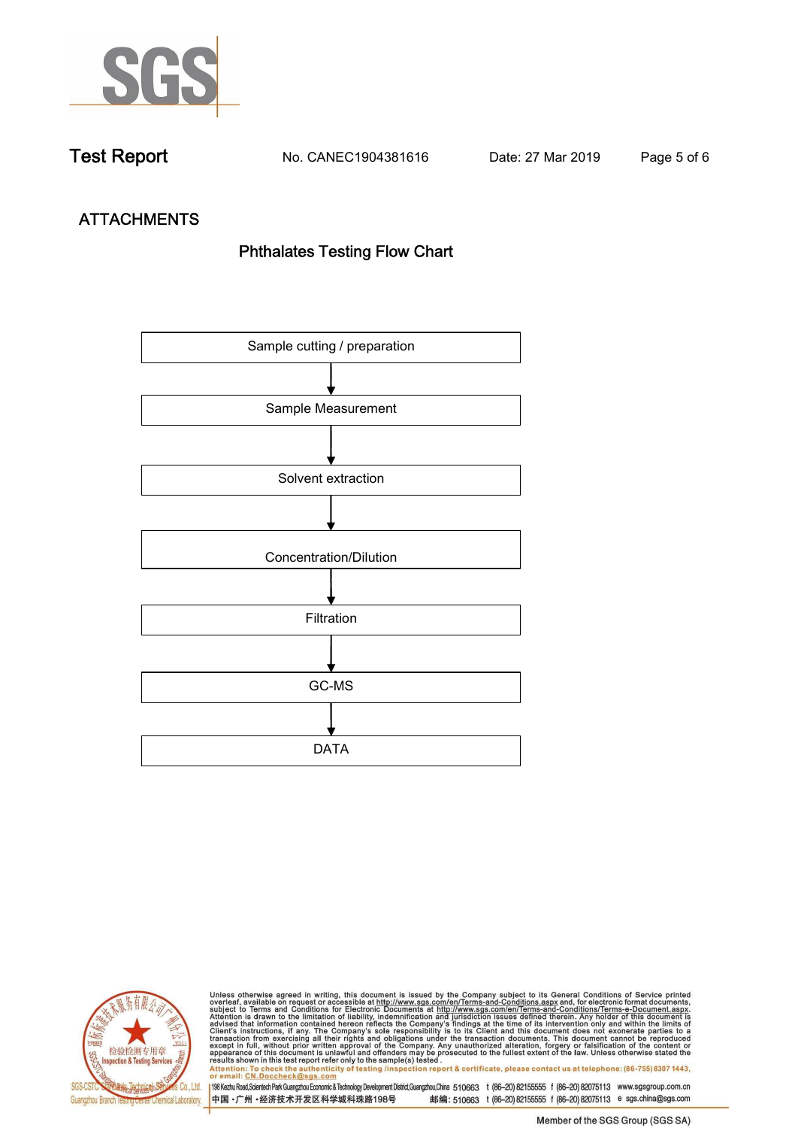

**Test Report. No. CANEC1904381616 Date: 27 Mar 2019. Page 5 of 6.**

# **ATTACHMENTS Phthalates Testing Flow Chart**





Unless otherwise agreed in writing, this document is issued by the Company subject to its General Conditions of Service printed<br>overleaf, available on request or accessible at http://www.sgs.com/en/Terms-and-Conditions.asp results shown in this test report refer only to the sample(s) tested .<br>Attention: To check the authenticity of testing /inspection report & certificate, please contact us at telephone: (86-755) 8307 1443,<br>or email: <u>CN.Doc</u>

198 Kezhu Road,Scientech Park Guangzhou Economic & Technology Development District,Guangzhou,China 510663 t (86-20) 82155555 f (86-20) 82075113 www.sgsgroup.com.cn 中国·广州·经济技术开发区科学城科珠路198号 邮编: 510663 t (86-20) 82155555 f (86-20) 82075113 e sgs.china@sgs.com